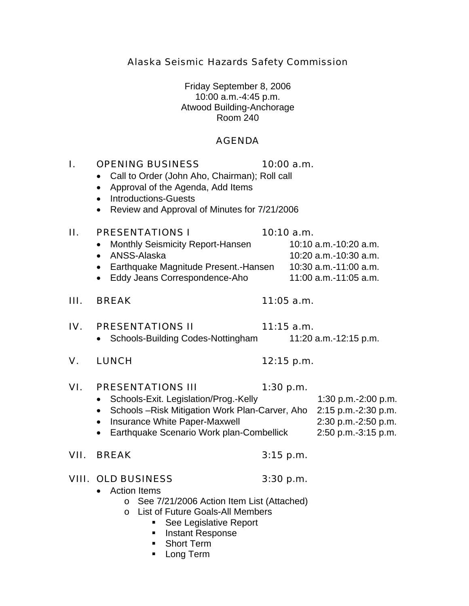Alaska Seismic Hazards Safety Commission

Friday September 8, 2006 10:00 a.m.-4:45 p.m. Atwood Building-Anchorage Room 240

## AGENDA

# I. OPENING BUSINESS 10:00 a.m.

- Call to Order (John Aho, Chairman); Roll call
- Approval of the Agenda, Add Items
- Introductions-Guests
- Review and Approval of Minutes for 7/21/2006

## II. PRESENTATIONS  $1$  10:10 a.m.

- Monthly Seismicity Report-Hansen 10:10 a.m.-10:20 a.m.
- 
- Earthquake Magnitude Present.-Hansen 10:30 a.m.-11:00 a.m.
- Eddy Jeans Correspondence-Aho 11:00 a.m.-11:05 a.m.

## III. BREAK 11:05 a.m.

## IV. PRESENTATIONS II  $11:15$  a.m.

- Schools-Building Codes-Nottingham 11:20 a.m.-12:15 p.m.
- V. LUNCH 12:15 p.m.

# VI. PRESENTATIONS III 1:30 p.m.

## • Schools-Exit. Legislation/Prog.-Kelly 1:30 p.m.-2:00 p.m. • Schools –Risk Mitigation Work Plan-Carver, Aho 2:15 p.m.-2:30 p.m. • Insurance White Paper-Maxwell 2:30 p.m.-2:50 p.m.

- 
- Earthquake Scenario Work plan-Combellick 2:50 p.m.-3:15 p.m.

# VII. BREAK 3:15 p.m.

# VIII. OLD BUSINESS 3:30 p.m.

- Action Items
	- o See 7/21/2006 Action Item List (Attached)
	- o List of Future Goals-All Members
		- See Legislative Report
		- **Instant Response**
		- **Short Term**
		- **Long Term**

# • ANSS-Alaska 10:20 a.m.-10:30 a.m.